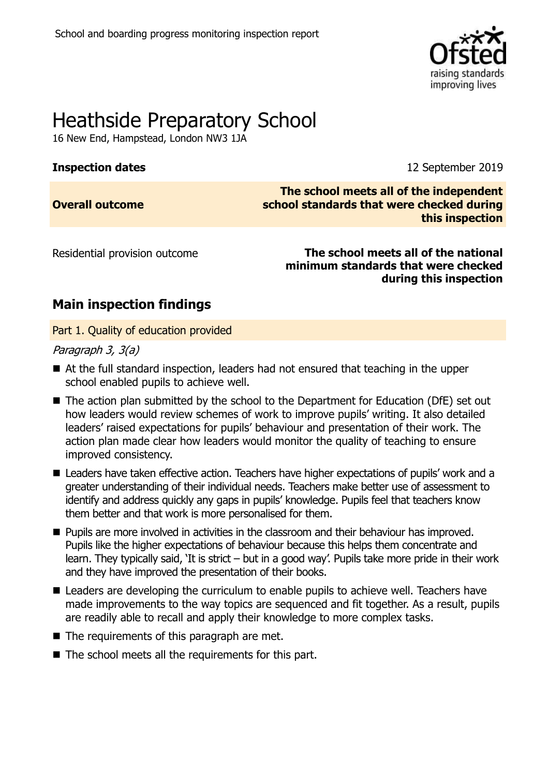

# Heathside Preparatory School

16 New End, Hampstead, London NW3 1JA

**Inspection dates** 12 September 2019

**Overall outcome**

**The school meets all of the independent school standards that were checked during this inspection**

Residential provision outcome **The school meets all of the national minimum standards that were checked during this inspection**

# **Main inspection findings**

Part 1. Quality of education provided

Paragraph 3, 3(a)

- At the full standard inspection, leaders had not ensured that teaching in the upper school enabled pupils to achieve well.
- The action plan submitted by the school to the Department for Education (DfE) set out how leaders would review schemes of work to improve pupils' writing. It also detailed leaders' raised expectations for pupils' behaviour and presentation of their work. The action plan made clear how leaders would monitor the quality of teaching to ensure improved consistency.
- Leaders have taken effective action. Teachers have higher expectations of pupils' work and a greater understanding of their individual needs. Teachers make better use of assessment to identify and address quickly any gaps in pupils' knowledge. Pupils feel that teachers know them better and that work is more personalised for them.
- **Pupils are more involved in activities in the classroom and their behaviour has improved.** Pupils like the higher expectations of behaviour because this helps them concentrate and learn. They typically said, 'It is strict – but in a good way'. Pupils take more pride in their work and they have improved the presentation of their books.
- Leaders are developing the curriculum to enable pupils to achieve well. Teachers have made improvements to the way topics are sequenced and fit together. As a result, pupils are readily able to recall and apply their knowledge to more complex tasks.
- $\blacksquare$  The requirements of this paragraph are met.
- $\blacksquare$  The school meets all the requirements for this part.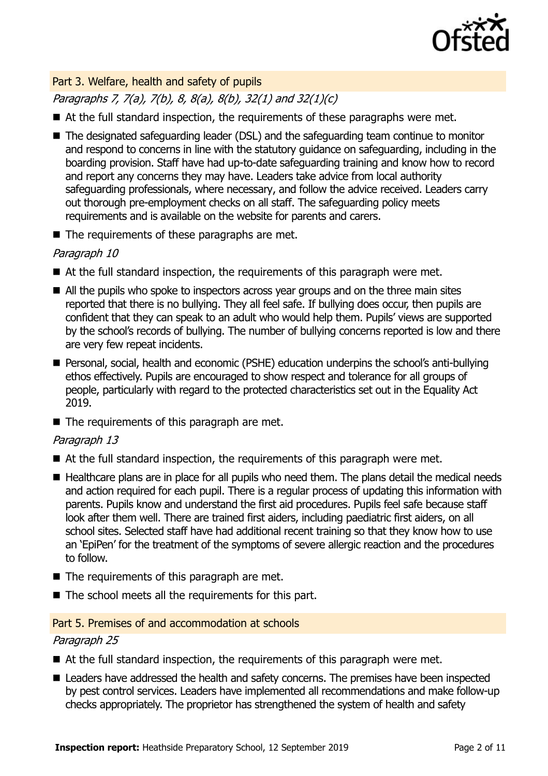

#### Part 3. Welfare, health and safety of pupils

Paragraphs 7, 7(a), 7(b), 8, 8(a), 8(b), 32(1) and 32(1)(c)

- At the full standard inspection, the requirements of these paragraphs were met.
- The designated safeguarding leader (DSL) and the safeguarding team continue to monitor and respond to concerns in line with the statutory guidance on safeguarding, including in the boarding provision. Staff have had up-to-date safeguarding training and know how to record and report any concerns they may have. Leaders take advice from local authority safeguarding professionals, where necessary, and follow the advice received. Leaders carry out thorough pre-employment checks on all staff. The safeguarding policy meets requirements and is available on the website for parents and carers.
- $\blacksquare$  The requirements of these paragraphs are met.

#### Paragraph 10

- At the full standard inspection, the requirements of this paragraph were met.
- All the pupils who spoke to inspectors across year groups and on the three main sites reported that there is no bullying. They all feel safe. If bullying does occur, then pupils are confident that they can speak to an adult who would help them. Pupils' views are supported by the school's records of bullying. The number of bullying concerns reported is low and there are very few repeat incidents.
- Personal, social, health and economic (PSHE) education underpins the school's anti-bullying ethos effectively. Pupils are encouraged to show respect and tolerance for all groups of people, particularly with regard to the protected characteristics set out in the Equality Act 2019.
- $\blacksquare$  The requirements of this paragraph are met.

#### Paragraph 13

- At the full standard inspection, the requirements of this paragraph were met.
- Healthcare plans are in place for all pupils who need them. The plans detail the medical needs and action required for each pupil. There is a regular process of updating this information with parents. Pupils know and understand the first aid procedures. Pupils feel safe because staff look after them well. There are trained first aiders, including paediatric first aiders, on all school sites. Selected staff have had additional recent training so that they know how to use an 'EpiPen' for the treatment of the symptoms of severe allergic reaction and the procedures to follow.
- $\blacksquare$  The requirements of this paragraph are met.
- $\blacksquare$  The school meets all the requirements for this part.

#### Part 5. Premises of and accommodation at schools

#### Paragraph 25

- At the full standard inspection, the requirements of this paragraph were met.
- Leaders have addressed the health and safety concerns. The premises have been inspected by pest control services. Leaders have implemented all recommendations and make follow-up checks appropriately. The proprietor has strengthened the system of health and safety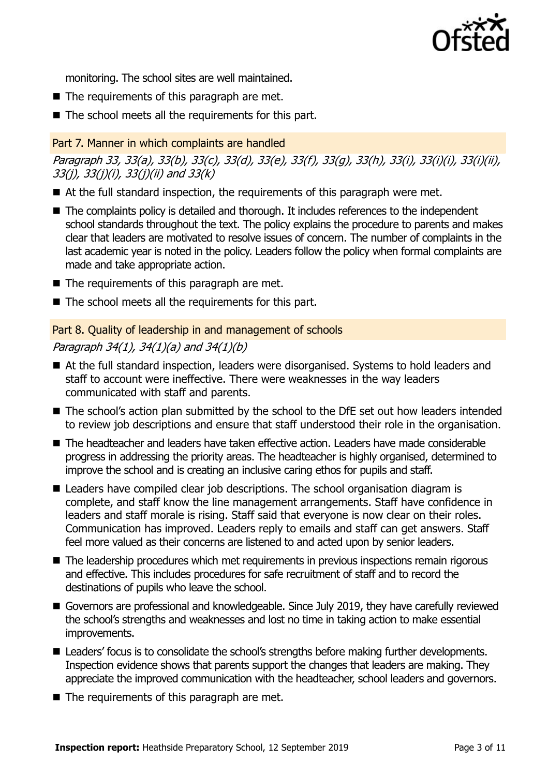

monitoring. The school sites are well maintained.

- $\blacksquare$  The requirements of this paragraph are met.
- $\blacksquare$  The school meets all the requirements for this part.

#### Part 7. Manner in which complaints are handled

Paragraph 33, 33(a), 33(b), 33(c), 33(d), 33(e), 33(f), 33(g), 33(h), 33(i), 33(i)(i), 33(i)(ii), 33(j), 33(j)(i), 33(j)(ii) and 33(k)

- At the full standard inspection, the requirements of this paragraph were met.
- The complaints policy is detailed and thorough. It includes references to the independent school standards throughout the text. The policy explains the procedure to parents and makes clear that leaders are motivated to resolve issues of concern. The number of complaints in the last academic year is noted in the policy. Leaders follow the policy when formal complaints are made and take appropriate action.
- $\blacksquare$  The requirements of this paragraph are met.
- $\blacksquare$  The school meets all the requirements for this part.

## Part 8. Quality of leadership in and management of schools Paragraph 34(1), 34(1)(a) and 34(1)(b)

- At the full standard inspection, leaders were disorganised. Systems to hold leaders and staff to account were ineffective. There were weaknesses in the way leaders communicated with staff and parents.
- The school's action plan submitted by the school to the DfE set out how leaders intended to review job descriptions and ensure that staff understood their role in the organisation.
- The headteacher and leaders have taken effective action. Leaders have made considerable progress in addressing the priority areas. The headteacher is highly organised, determined to improve the school and is creating an inclusive caring ethos for pupils and staff.
- Leaders have compiled clear job descriptions. The school organisation diagram is complete, and staff know the line management arrangements. Staff have confidence in leaders and staff morale is rising. Staff said that everyone is now clear on their roles. Communication has improved. Leaders reply to emails and staff can get answers. Staff feel more valued as their concerns are listened to and acted upon by senior leaders.
- The leadership procedures which met requirements in previous inspections remain rigorous and effective. This includes procedures for safe recruitment of staff and to record the destinations of pupils who leave the school.
- Governors are professional and knowledgeable. Since July 2019, they have carefully reviewed the school's strengths and weaknesses and lost no time in taking action to make essential improvements.
- Leaders' focus is to consolidate the school's strengths before making further developments. Inspection evidence shows that parents support the changes that leaders are making. They appreciate the improved communication with the headteacher, school leaders and governors.
- $\blacksquare$  The requirements of this paragraph are met.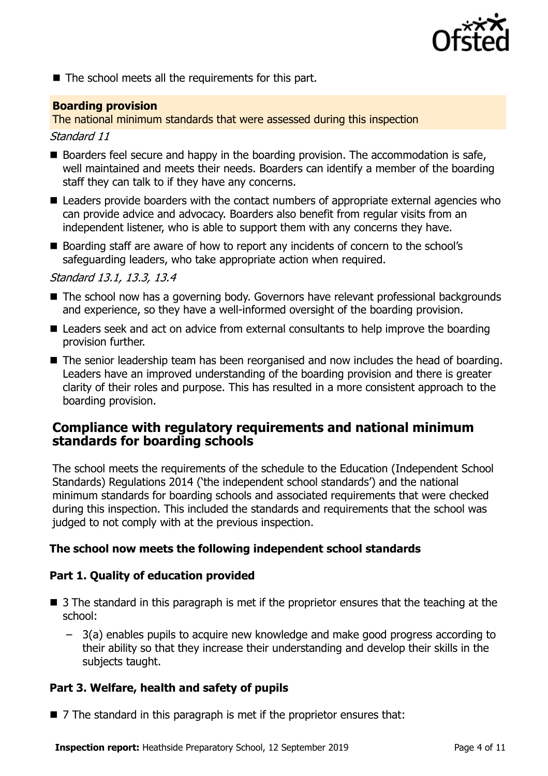

 $\blacksquare$  The school meets all the requirements for this part.

#### **Boarding provision**

The national minimum standards that were assessed during this inspection

#### Standard 11

- Boarders feel secure and happy in the boarding provision. The accommodation is safe, well maintained and meets their needs. Boarders can identify a member of the boarding staff they can talk to if they have any concerns.
- Leaders provide boarders with the contact numbers of appropriate external agencies who can provide advice and advocacy. Boarders also benefit from regular visits from an independent listener, who is able to support them with any concerns they have.
- Boarding staff are aware of how to report any incidents of concern to the school's safeguarding leaders, who take appropriate action when required.

#### Standard 13.1, 13.3, 13.4

- The school now has a governing body. Governors have relevant professional backgrounds and experience, so they have a well-informed oversight of the boarding provision.
- Leaders seek and act on advice from external consultants to help improve the boarding provision further.
- The senior leadership team has been reorganised and now includes the head of boarding. Leaders have an improved understanding of the boarding provision and there is greater clarity of their roles and purpose. This has resulted in a more consistent approach to the boarding provision.

#### **Compliance with regulatory requirements and national minimum standards for boarding schools**

The school meets the requirements of the schedule to the Education (Independent School Standards) Regulations 2014 ('the independent school standards') and the national minimum standards for boarding schools and associated requirements that were checked during this inspection. This included the standards and requirements that the school was judged to not comply with at the previous inspection.

#### **The school now meets the following independent school standards**

#### **Part 1. Quality of education provided**

- 3 The standard in this paragraph is met if the proprietor ensures that the teaching at the school:
	- 3(a) enables pupils to acquire new knowledge and make good progress according to their ability so that they increase their understanding and develop their skills in the subjects taught.

#### **Part 3. Welfare, health and safety of pupils**

■ 7 The standard in this paragraph is met if the proprietor ensures that: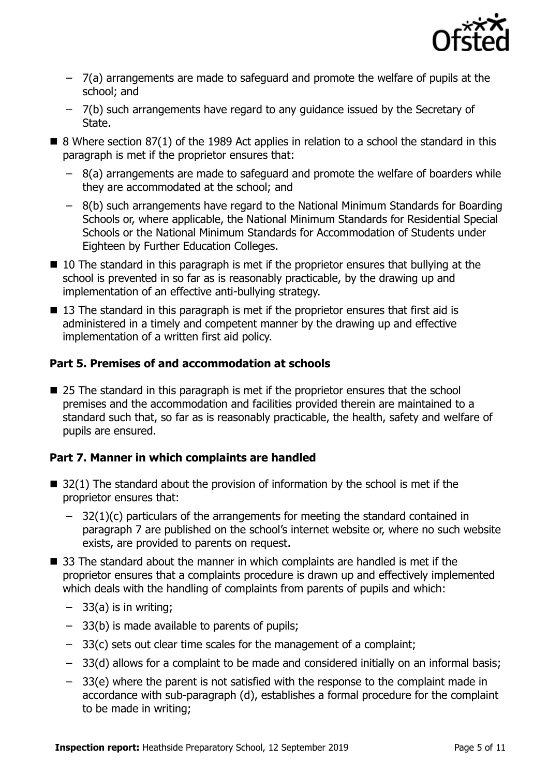

- 7(a) arrangements are made to safeguard and promote the welfare of pupils at the school; and
- 7(b) such arrangements have regard to any guidance issued by the Secretary of State.
- $\blacksquare$  8 Where section 87(1) of the 1989 Act applies in relation to a school the standard in this paragraph is met if the proprietor ensures that:
	- 8(a) arrangements are made to safeguard and promote the welfare of boarders while they are accommodated at the school; and
	- 8(b) such arrangements have regard to the National Minimum Standards for Boarding Schools or, where applicable, the National Minimum Standards for Residential Special Schools or the National Minimum Standards for Accommodation of Students under Eighteen by Further Education Colleges.
- 10 The standard in this paragraph is met if the proprietor ensures that bullying at the school is prevented in so far as is reasonably practicable, by the drawing up and implementation of an effective anti-bullying strategy.
- 13 The standard in this paragraph is met if the proprietor ensures that first aid is administered in a timely and competent manner by the drawing up and effective implementation of a written first aid policy.

#### **Part 5. Premises of and accommodation at schools**

■ 25 The standard in this paragraph is met if the proprietor ensures that the school premises and the accommodation and facilities provided therein are maintained to a standard such that, so far as is reasonably practicable, the health, safety and welfare of pupils are ensured.

#### **Part 7. Manner in which complaints are handled**

- $\blacksquare$  32(1) The standard about the provision of information by the school is met if the proprietor ensures that:
	- $-$  32(1)(c) particulars of the arrangements for meeting the standard contained in paragraph 7 are published on the school's internet website or, where no such website exists, are provided to parents on request.
- 33 The standard about the manner in which complaints are handled is met if the proprietor ensures that a complaints procedure is drawn up and effectively implemented which deals with the handling of complaints from parents of pupils and which:
	- $-$  33(a) is in writing;
	- 33(b) is made available to parents of pupils;
	- 33(c) sets out clear time scales for the management of a complaint;
	- 33(d) allows for a complaint to be made and considered initially on an informal basis;
	- 33(e) where the parent is not satisfied with the response to the complaint made in accordance with sub-paragraph (d), establishes a formal procedure for the complaint to be made in writing;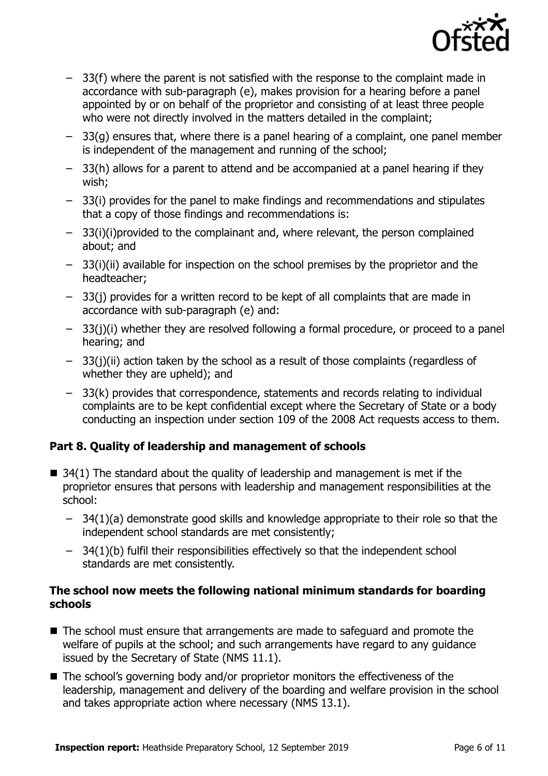

- 33(f) where the parent is not satisfied with the response to the complaint made in accordance with sub-paragraph (e), makes provision for a hearing before a panel appointed by or on behalf of the proprietor and consisting of at least three people who were not directly involved in the matters detailed in the complaint;
- 33(g) ensures that, where there is a panel hearing of a complaint, one panel member is independent of the management and running of the school;
- 33(h) allows for a parent to attend and be accompanied at a panel hearing if they wish;
- 33(i) provides for the panel to make findings and recommendations and stipulates that a copy of those findings and recommendations is:
- 33(i)(i)provided to the complainant and, where relevant, the person complained about; and
- 33(i)(ii) available for inspection on the school premises by the proprietor and the headteacher;
- 33(j) provides for a written record to be kept of all complaints that are made in accordance with sub-paragraph (e) and:
- 33(j)(i) whether they are resolved following a formal procedure, or proceed to a panel hearing; and
- 33(j)(ii) action taken by the school as a result of those complaints (regardless of whether they are upheld); and
- 33(k) provides that correspondence, statements and records relating to individual complaints are to be kept confidential except where the Secretary of State or a body conducting an inspection under section 109 of the 2008 Act requests access to them.

### **Part 8. Quality of leadership and management of schools**

- $\blacksquare$  34(1) The standard about the quality of leadership and management is met if the proprietor ensures that persons with leadership and management responsibilities at the school:
	- 34(1)(a) demonstrate good skills and knowledge appropriate to their role so that the independent school standards are met consistently;
	- 34(1)(b) fulfil their responsibilities effectively so that the independent school standards are met consistently.

#### **The school now meets the following national minimum standards for boarding schools**

- The school must ensure that arrangements are made to safeguard and promote the welfare of pupils at the school; and such arrangements have regard to any guidance issued by the Secretary of State (NMS 11.1).
- The school's governing body and/or proprietor monitors the effectiveness of the leadership, management and delivery of the boarding and welfare provision in the school and takes appropriate action where necessary (NMS 13.1).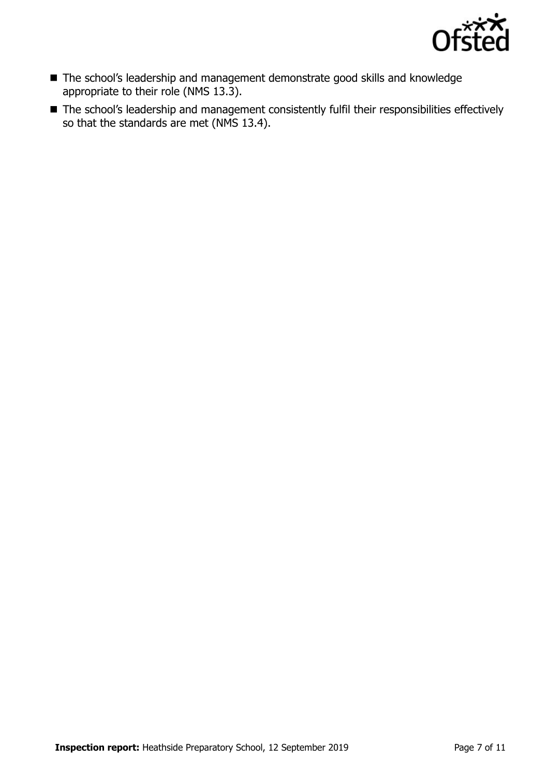

- The school's leadership and management demonstrate good skills and knowledge appropriate to their role (NMS 13.3).
- The school's leadership and management consistently fulfil their responsibilities effectively so that the standards are met (NMS 13.4).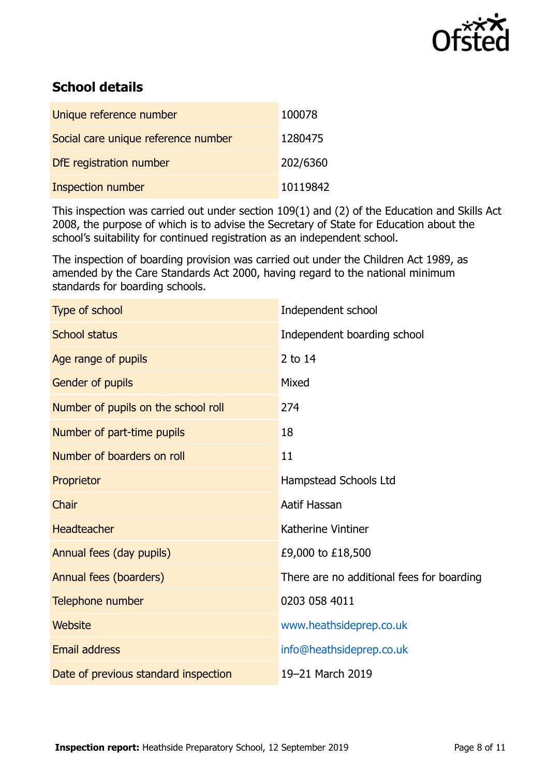

# **School details**

| Unique reference number             | 100078   |
|-------------------------------------|----------|
| Social care unique reference number | 1280475  |
| DfE registration number             | 202/6360 |
| <b>Inspection number</b>            | 10119842 |

This inspection was carried out under section 109(1) and (2) of the Education and Skills Act 2008, the purpose of which is to advise the Secretary of State for Education about the school's suitability for continued registration as an independent school.

The inspection of boarding provision was carried out under the Children Act 1989, as amended by the Care Standards Act 2000, having regard to the national minimum standards for boarding schools.

| Type of school                       | Independent school                        |
|--------------------------------------|-------------------------------------------|
| <b>School status</b>                 | Independent boarding school               |
| Age range of pupils                  | 2 to 14                                   |
| Gender of pupils                     | Mixed                                     |
| Number of pupils on the school roll  | 274                                       |
| Number of part-time pupils           | 18                                        |
| Number of boarders on roll           | 11                                        |
| Proprietor                           | Hampstead Schools Ltd                     |
| Chair                                | Aatif Hassan                              |
| <b>Headteacher</b>                   | Katherine Vintiner                        |
| Annual fees (day pupils)             | £9,000 to £18,500                         |
| Annual fees (boarders)               | There are no additional fees for boarding |
| Telephone number                     | 0203 058 4011                             |
| Website                              | www.heathsideprep.co.uk                   |
| <b>Email address</b>                 | info@heathsideprep.co.uk                  |
| Date of previous standard inspection | 19-21 March 2019                          |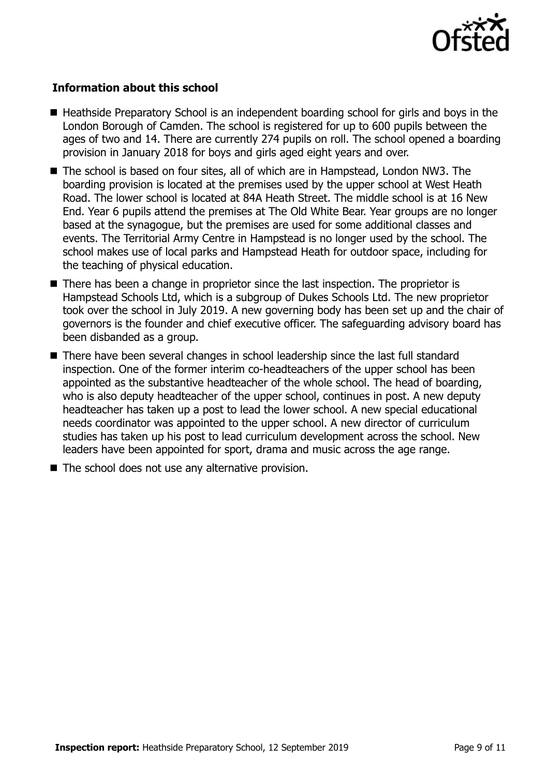

#### **Information about this school**

- Heathside Preparatory School is an independent boarding school for girls and boys in the London Borough of Camden. The school is registered for up to 600 pupils between the ages of two and 14. There are currently 274 pupils on roll. The school opened a boarding provision in January 2018 for boys and girls aged eight years and over.
- The school is based on four sites, all of which are in Hampstead, London NW3. The boarding provision is located at the premises used by the upper school at West Heath Road. The lower school is located at 84A Heath Street. The middle school is at 16 New End. Year 6 pupils attend the premises at The Old White Bear. Year groups are no longer based at the synagogue, but the premises are used for some additional classes and events. The Territorial Army Centre in Hampstead is no longer used by the school. The school makes use of local parks and Hampstead Heath for outdoor space, including for the teaching of physical education.
- $\blacksquare$  There has been a change in proprietor since the last inspection. The proprietor is Hampstead Schools Ltd, which is a subgroup of Dukes Schools Ltd. The new proprietor took over the school in July 2019. A new governing body has been set up and the chair of governors is the founder and chief executive officer. The safeguarding advisory board has been disbanded as a group.
- There have been several changes in school leadership since the last full standard inspection. One of the former interim co-headteachers of the upper school has been appointed as the substantive headteacher of the whole school. The head of boarding, who is also deputy headteacher of the upper school, continues in post. A new deputy headteacher has taken up a post to lead the lower school. A new special educational needs coordinator was appointed to the upper school. A new director of curriculum studies has taken up his post to lead curriculum development across the school. New leaders have been appointed for sport, drama and music across the age range.
- $\blacksquare$  The school does not use any alternative provision.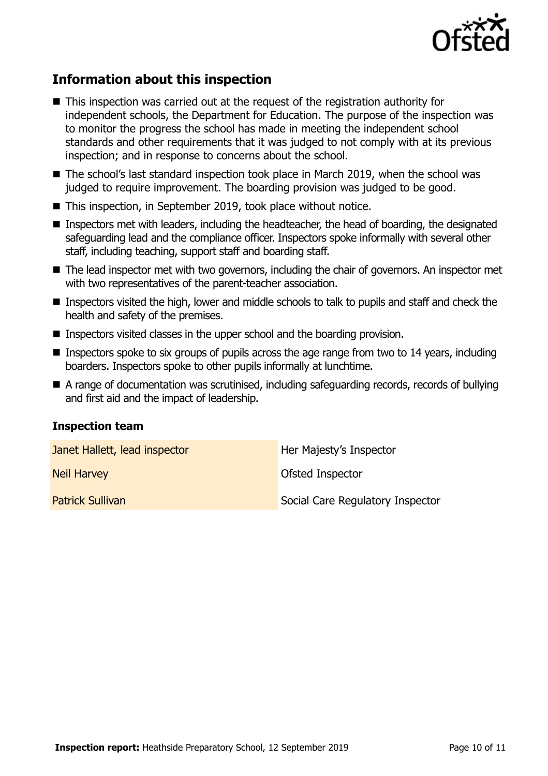

# **Information about this inspection**

- This inspection was carried out at the request of the registration authority for independent schools, the Department for Education. The purpose of the inspection was to monitor the progress the school has made in meeting the independent school standards and other requirements that it was judged to not comply with at its previous inspection; and in response to concerns about the school.
- The school's last standard inspection took place in March 2019, when the school was judged to require improvement. The boarding provision was judged to be good.
- This inspection, in September 2019, took place without notice.
- Inspectors met with leaders, including the headteacher, the head of boarding, the designated safeguarding lead and the compliance officer. Inspectors spoke informally with several other staff, including teaching, support staff and boarding staff.
- The lead inspector met with two governors, including the chair of governors. An inspector met with two representatives of the parent-teacher association.
- Inspectors visited the high, lower and middle schools to talk to pupils and staff and check the health and safety of the premises.
- Inspectors visited classes in the upper school and the boarding provision.
- **Inspectors spoke to six groups of pupils across the age range from two to 14 years, including** boarders. Inspectors spoke to other pupils informally at lunchtime.
- A range of documentation was scrutinised, including safeguarding records, records of bullying and first aid and the impact of leadership.

#### **Inspection team**

| Janet Hallett, lead inspector | Her Majesty's Inspector          |
|-------------------------------|----------------------------------|
| <b>Neil Harvey</b>            | Ofsted Inspector                 |
| <b>Patrick Sullivan</b>       | Social Care Regulatory Inspector |